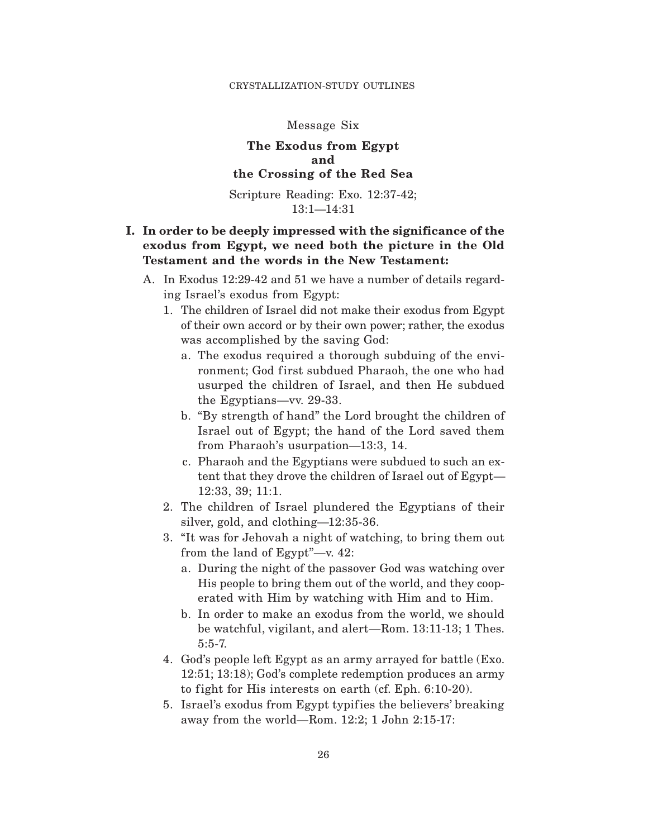#### CRYSTALLIZATION-STUDY OUTLINES

#### Message Six

## **The Exodus from Egypt and the Crossing of the Red Sea**

Scripture Reading: Exo. 12:37-42; 13:1—14:31

# **I. In order to be deeply impressed with the significance of the exodus from Egypt, we need both the picture in the Old Testament and the words in the New Testament:**

- A. In Exodus 12:29-42 and 51 we have a number of details regarding Israel's exodus from Egypt:
	- 1. The children of Israel did not make their exodus from Egypt of their own accord or by their own power; rather, the exodus was accomplished by the saving God:
		- a. The exodus required a thorough subduing of the environment; God first subdued Pharaoh, the one who had usurped the children of Israel, and then He subdued the Egyptians—vv. 29-33.
		- b. "By strength of hand" the Lord brought the children of Israel out of Egypt; the hand of the Lord saved them from Pharaoh's usurpation—13:3, 14.
		- c. Pharaoh and the Egyptians were subdued to such an extent that they drove the children of Israel out of Egypt— 12:33, 39; 11:1.
	- 2. The children of Israel plundered the Egyptians of their silver, gold, and clothing—12:35-36.
	- 3. "It was for Jehovah a night of watching, to bring them out from the land of Egypt"—v. 42:
		- a. During the night of the passover God was watching over His people to bring them out of the world, and they cooperated with Him by watching with Him and to Him.
		- b. In order to make an exodus from the world, we should be watchful, vigilant, and alert—Rom. 13:11-13; 1 Thes. 5:5-7.
	- 4. God's people left Egypt as an army arrayed for battle (Exo. 12:51; 13:18); God's complete redemption produces an army to fight for His interests on earth (cf. Eph.  $6:10-20$ ).
	- 5. Israel's exodus from Egypt typifies the believers' breaking away from the world—Rom. 12:2; 1 John 2:15-17: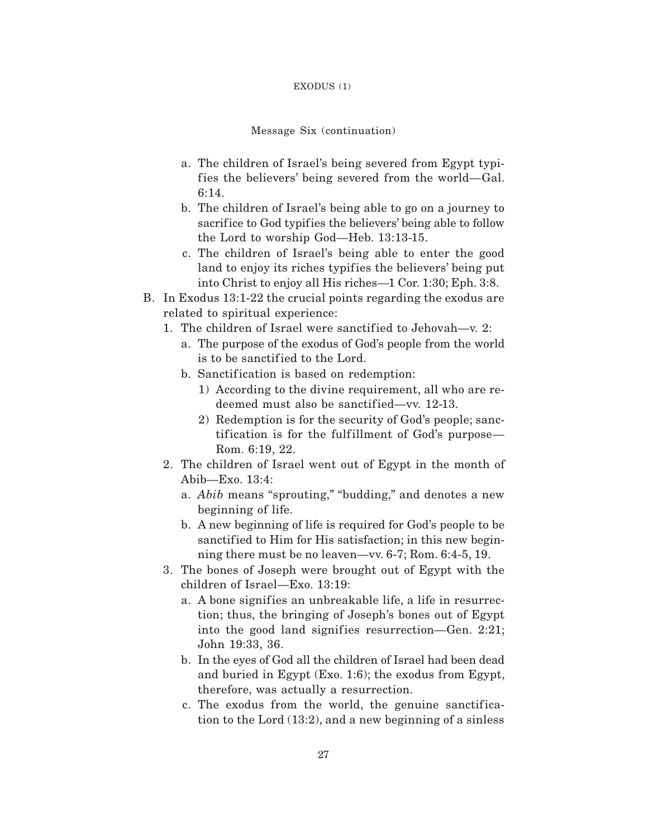#### EXODUS (1)

#### Message Six (continuation)

- a. The children of Israel's being severed from Egypt typifies the believers' being severed from the world—Gal. 6:14.
- b. The children of Israel's being able to go on a journey to sacrifice to God typifies the believers' being able to follow the Lord to worship God—Heb. 13:13-15.
- c. The children of Israel's being able to enter the good land to enjoy its riches typifies the believers' being put into Christ to enjoy all His riches—1 Cor. 1:30; Eph. 3:8.
- B. In Exodus 13:1-22 the crucial points regarding the exodus are related to spiritual experience:
	- 1. The children of Israel were sanctified to Jehovah—v. 2:
		- a. The purpose of the exodus of God's people from the world is to be sanctified to the Lord.
		- b. Sanctification is based on redemption:
			- 1) According to the divine requirement, all who are redeemed must also be sanctified—vv. 12-13.
			- 2) Redemption is for the security of God's people; sanctification is for the fulfillment of God's purpose— Rom. 6:19, 22.
	- 2. The children of Israel went out of Egypt in the month of Abib—Exo. 13:4:
		- a. *Abib* means "sprouting," "budding," and denotes a new beginning of life.
		- b. A new beginning of life is required for God's people to be sanctified to Him for His satisfaction; in this new beginning there must be no leaven—vv. 6-7; Rom. 6:4-5, 19.
	- 3. The bones of Joseph were brought out of Egypt with the children of Israel—Exo. 13:19:
		- a. A bone signifies an unbreakable life, a life in resurrection; thus, the bringing of Joseph's bones out of Egypt into the good land signifies resurrection—Gen. 2:21; John 19:33, 36.
		- b. In the eyes of God all the children of Israel had been dead and buried in Egypt (Exo. 1:6); the exodus from Egypt, therefore, was actually a resurrection.
		- c. The exodus from the world, the genuine sanctification to the Lord (13:2), and a new beginning of a sinless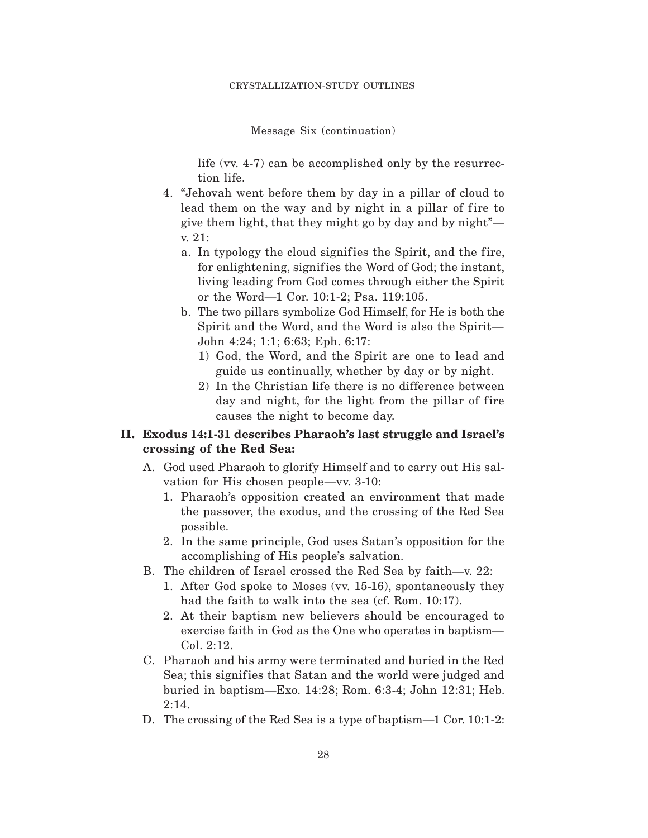Message Six (continuation)

life (vv. 4-7) can be accomplished only by the resurrection life.

- 4. "Jehovah went before them by day in a pillar of cloud to lead them on the way and by night in a pillar of fire to give them light, that they might go by day and by night" v. 21:
	- a. In typology the cloud signifies the Spirit, and the fire, for enlightening, signifies the Word of God; the instant, living leading from God comes through either the Spirit or the Word—1 Cor. 10:1-2; Psa. 119:105.
	- b. The two pillars symbolize God Himself, for He is both the Spirit and the Word, and the Word is also the Spirit— John 4:24; 1:1; 6:63; Eph. 6:17:
		- 1) God, the Word, and the Spirit are one to lead and guide us continually, whether by day or by night.
		- 2) In the Christian life there is no difference between day and night, for the light from the pillar of fire causes the night to become day.

### **II. Exodus 14:1-31 describes Pharaoh's last struggle and Israel's crossing of the Red Sea:**

- A. God used Pharaoh to glorify Himself and to carry out His salvation for His chosen people—vv. 3-10:
	- 1. Pharaoh's opposition created an environment that made the passover, the exodus, and the crossing of the Red Sea possible.
	- 2. In the same principle, God uses Satan's opposition for the accomplishing of His people's salvation.
- B. The children of Israel crossed the Red Sea by faith—v. 22:
	- 1. After God spoke to Moses (vv. 15-16), spontaneously they had the faith to walk into the sea (cf. Rom. 10:17).
	- 2. At their baptism new believers should be encouraged to exercise faith in God as the One who operates in baptism— Col. 2:12.
- C. Pharaoh and his army were terminated and buried in the Red Sea; this signifies that Satan and the world were judged and buried in baptism—Exo. 14:28; Rom. 6:3-4; John 12:31; Heb. 2:14.
- D. The crossing of the Red Sea is a type of baptism—1 Cor. 10:1-2: